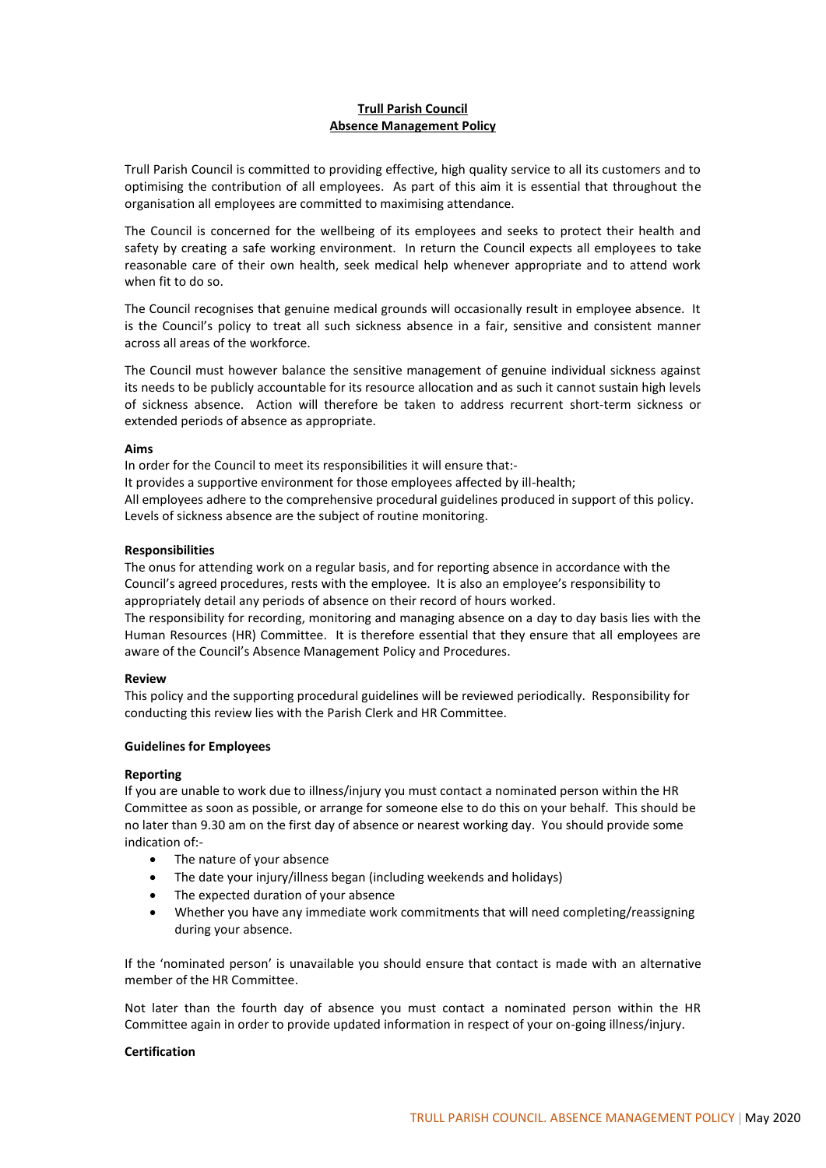# **Trull Parish Council Absence Management Policy**

Trull Parish Council is committed to providing effective, high quality service to all its customers and to optimising the contribution of all employees. As part of this aim it is essential that throughout the organisation all employees are committed to maximising attendance.

The Council is concerned for the wellbeing of its employees and seeks to protect their health and safety by creating a safe working environment. In return the Council expects all employees to take reasonable care of their own health, seek medical help whenever appropriate and to attend work when fit to do so.

The Council recognises that genuine medical grounds will occasionally result in employee absence. It is the Council's policy to treat all such sickness absence in a fair, sensitive and consistent manner across all areas of the workforce.

The Council must however balance the sensitive management of genuine individual sickness against its needs to be publicly accountable for its resource allocation and as such it cannot sustain high levels of sickness absence. Action will therefore be taken to address recurrent short-term sickness or extended periods of absence as appropriate.

## **Aims**

In order for the Council to meet its responsibilities it will ensure that:-

It provides a supportive environment for those employees affected by ill-health;

All employees adhere to the comprehensive procedural guidelines produced in support of this policy. Levels of sickness absence are the subject of routine monitoring.

## **Responsibilities**

The onus for attending work on a regular basis, and for reporting absence in accordance with the Council's agreed procedures, rests with the employee. It is also an employee's responsibility to appropriately detail any periods of absence on their record of hours worked.

The responsibility for recording, monitoring and managing absence on a day to day basis lies with the Human Resources (HR) Committee. It is therefore essential that they ensure that all employees are aware of the Council's Absence Management Policy and Procedures.

## **Review**

This policy and the supporting procedural guidelines will be reviewed periodically. Responsibility for conducting this review lies with the Parish Clerk and HR Committee.

# **Guidelines for Employees**

## **Reporting**

If you are unable to work due to illness/injury you must contact a nominated person within the HR Committee as soon as possible, or arrange for someone else to do this on your behalf. This should be no later than 9.30 am on the first day of absence or nearest working day. You should provide some indication of:-

- The nature of your absence
- The date your injury/illness began (including weekends and holidays)
- The expected duration of your absence
- Whether you have any immediate work commitments that will need completing/reassigning during your absence.

If the 'nominated person' is unavailable you should ensure that contact is made with an alternative member of the HR Committee.

Not later than the fourth day of absence you must contact a nominated person within the HR Committee again in order to provide updated information in respect of your on-going illness/injury.

## **Certification**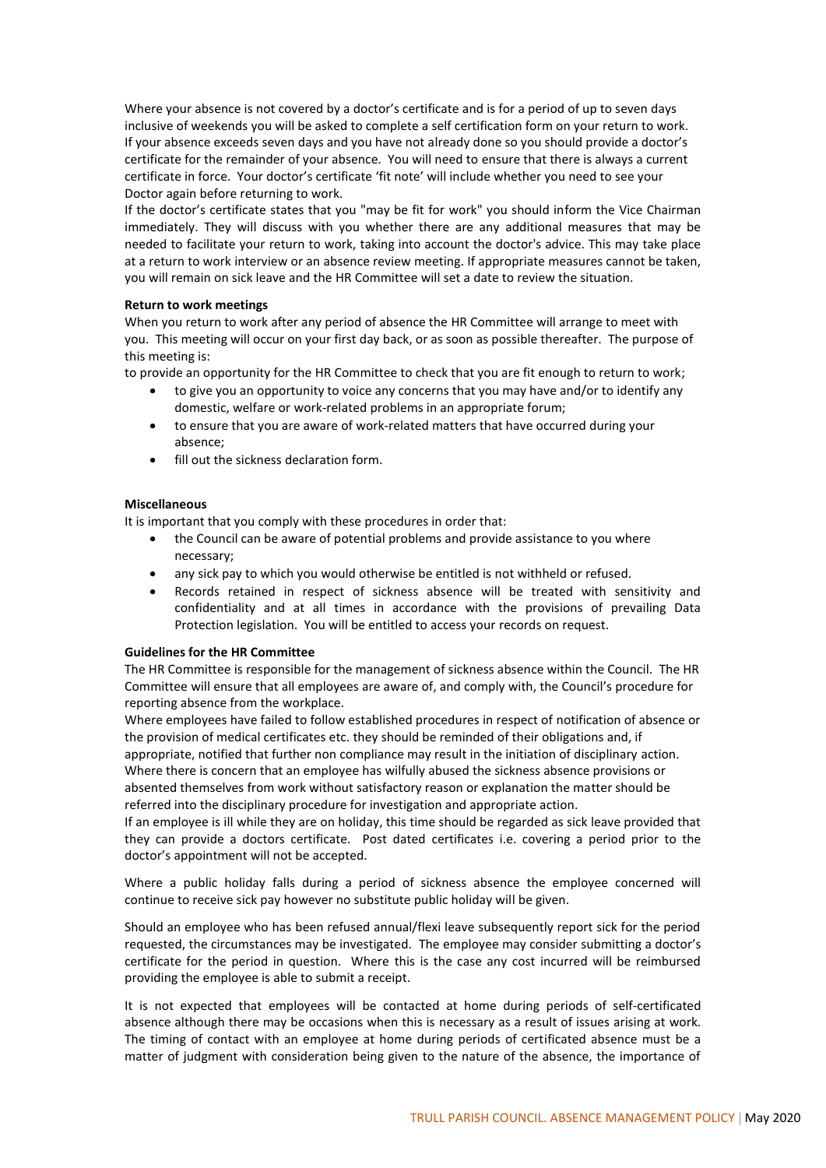Where your absence is not covered by a doctor's certificate and is for a period of up to seven days inclusive of weekends you will be asked to complete a self certification form on your return to work. If your absence exceeds seven days and you have not already done so you should provide a doctor's certificate for the remainder of your absence. You will need to ensure that there is always a current certificate in force. Your doctor's certificate 'fit note' will include whether you need to see your Doctor again before returning to work.

If the doctor's certificate states that you "may be fit for work" you should inform the Vice Chairman immediately. They will discuss with you whether there are any additional measures that may be needed to facilitate your return to work, taking into account the doctor's advice. This may take place at a return to work interview or an absence review meeting. If appropriate measures cannot be taken, you will remain on sick leave and the HR Committee will set a date to review the situation.

## **Return to work meetings**

When you return to work after any period of absence the HR Committee will arrange to meet with you. This meeting will occur on your first day back, or as soon as possible thereafter. The purpose of this meeting is:

to provide an opportunity for the HR Committee to check that you are fit enough to return to work;

- to give you an opportunity to voice any concerns that you may have and/or to identify any domestic, welfare or work-related problems in an appropriate forum;
- to ensure that you are aware of work-related matters that have occurred during your absence;
- fill out the sickness declaration form.

## **Miscellaneous**

It is important that you comply with these procedures in order that:

- the Council can be aware of potential problems and provide assistance to you where necessary;
- any sick pay to which you would otherwise be entitled is not withheld or refused.
- Records retained in respect of sickness absence will be treated with sensitivity and confidentiality and at all times in accordance with the provisions of prevailing Data Protection legislation. You will be entitled to access your records on request.

## **Guidelines for the HR Committee**

The HR Committee is responsible for the management of sickness absence within the Council. The HR Committee will ensure that all employees are aware of, and comply with, the Council's procedure for reporting absence from the workplace.

Where employees have failed to follow established procedures in respect of notification of absence or the provision of medical certificates etc. they should be reminded of their obligations and, if appropriate, notified that further non compliance may result in the initiation of disciplinary action. Where there is concern that an employee has wilfully abused the sickness absence provisions or absented themselves from work without satisfactory reason or explanation the matter should be referred into the disciplinary procedure for investigation and appropriate action.

If an employee is ill while they are on holiday, this time should be regarded as sick leave provided that they can provide a doctors certificate. Post dated certificates i.e. covering a period prior to the doctor's appointment will not be accepted.

Where a public holiday falls during a period of sickness absence the employee concerned will continue to receive sick pay however no substitute public holiday will be given.

Should an employee who has been refused annual/flexi leave subsequently report sick for the period requested, the circumstances may be investigated. The employee may consider submitting a doctor's certificate for the period in question. Where this is the case any cost incurred will be reimbursed providing the employee is able to submit a receipt.

It is not expected that employees will be contacted at home during periods of self-certificated absence although there may be occasions when this is necessary as a result of issues arising at work. The timing of contact with an employee at home during periods of certificated absence must be a matter of judgment with consideration being given to the nature of the absence, the importance of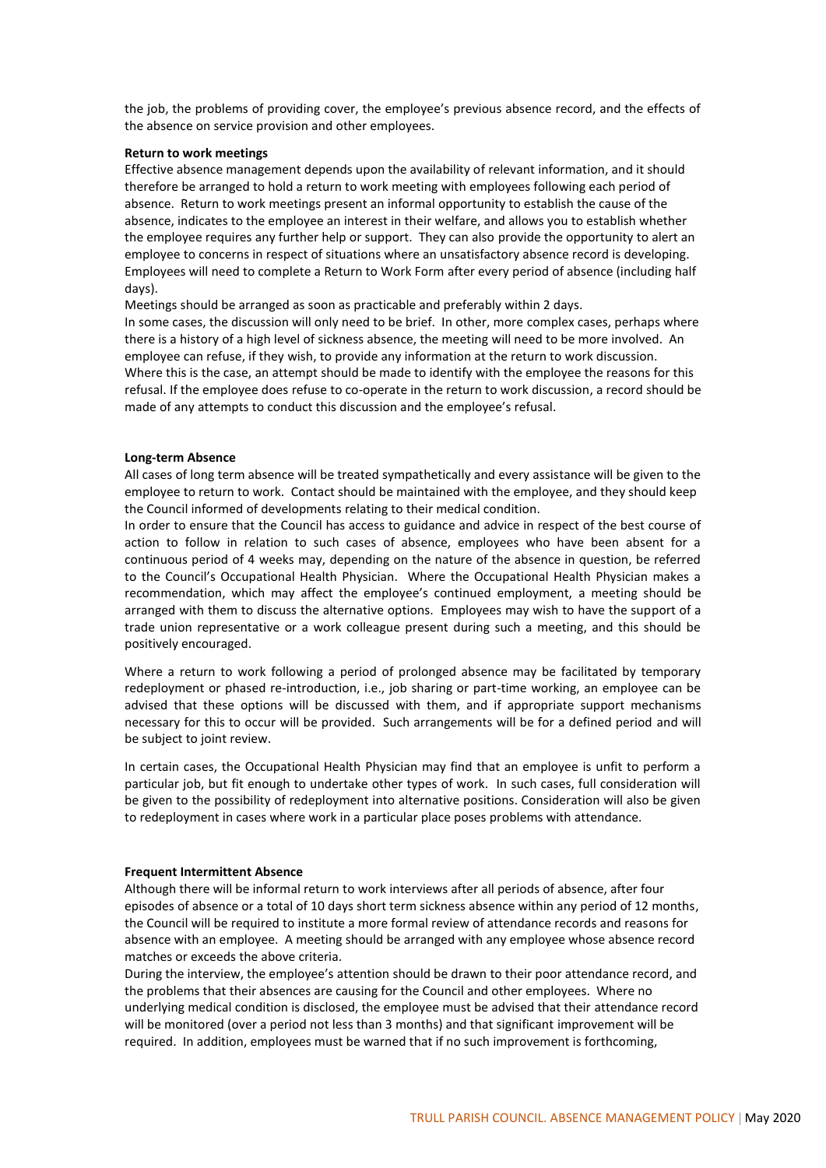the job, the problems of providing cover, the employee's previous absence record, and the effects of the absence on service provision and other employees.

#### **Return to work meetings**

Effective absence management depends upon the availability of relevant information, and it should therefore be arranged to hold a return to work meeting with employees following each period of absence. Return to work meetings present an informal opportunity to establish the cause of the absence, indicates to the employee an interest in their welfare, and allows you to establish whether the employee requires any further help or support. They can also provide the opportunity to alert an employee to concerns in respect of situations where an unsatisfactory absence record is developing. Employees will need to complete a Return to Work Form after every period of absence (including half days).

Meetings should be arranged as soon as practicable and preferably within 2 days.

In some cases, the discussion will only need to be brief. In other, more complex cases, perhaps where there is a history of a high level of sickness absence, the meeting will need to be more involved. An employee can refuse, if they wish, to provide any information at the return to work discussion. Where this is the case, an attempt should be made to identify with the employee the reasons for this refusal. If the employee does refuse to co-operate in the return to work discussion, a record should be made of any attempts to conduct this discussion and the employee's refusal.

#### **Long-term Absence**

All cases of long term absence will be treated sympathetically and every assistance will be given to the employee to return to work. Contact should be maintained with the employee, and they should keep the Council informed of developments relating to their medical condition.

In order to ensure that the Council has access to guidance and advice in respect of the best course of action to follow in relation to such cases of absence, employees who have been absent for a continuous period of 4 weeks may, depending on the nature of the absence in question, be referred to the Council's Occupational Health Physician. Where the Occupational Health Physician makes a recommendation, which may affect the employee's continued employment, a meeting should be arranged with them to discuss the alternative options. Employees may wish to have the support of a trade union representative or a work colleague present during such a meeting, and this should be positively encouraged.

Where a return to work following a period of prolonged absence may be facilitated by temporary redeployment or phased re-introduction, i.e., job sharing or part-time working, an employee can be advised that these options will be discussed with them, and if appropriate support mechanisms necessary for this to occur will be provided. Such arrangements will be for a defined period and will be subject to joint review.

In certain cases, the Occupational Health Physician may find that an employee is unfit to perform a particular job, but fit enough to undertake other types of work. In such cases, full consideration will be given to the possibility of redeployment into alternative positions. Consideration will also be given to redeployment in cases where work in a particular place poses problems with attendance.

### **Frequent Intermittent Absence**

Although there will be informal return to work interviews after all periods of absence, after four episodes of absence or a total of 10 days short term sickness absence within any period of 12 months, the Council will be required to institute a more formal review of attendance records and reasons for absence with an employee. A meeting should be arranged with any employee whose absence record matches or exceeds the above criteria.

During the interview, the employee's attention should be drawn to their poor attendance record, and the problems that their absences are causing for the Council and other employees. Where no underlying medical condition is disclosed, the employee must be advised that their attendance record will be monitored (over a period not less than 3 months) and that significant improvement will be required. In addition, employees must be warned that if no such improvement is forthcoming,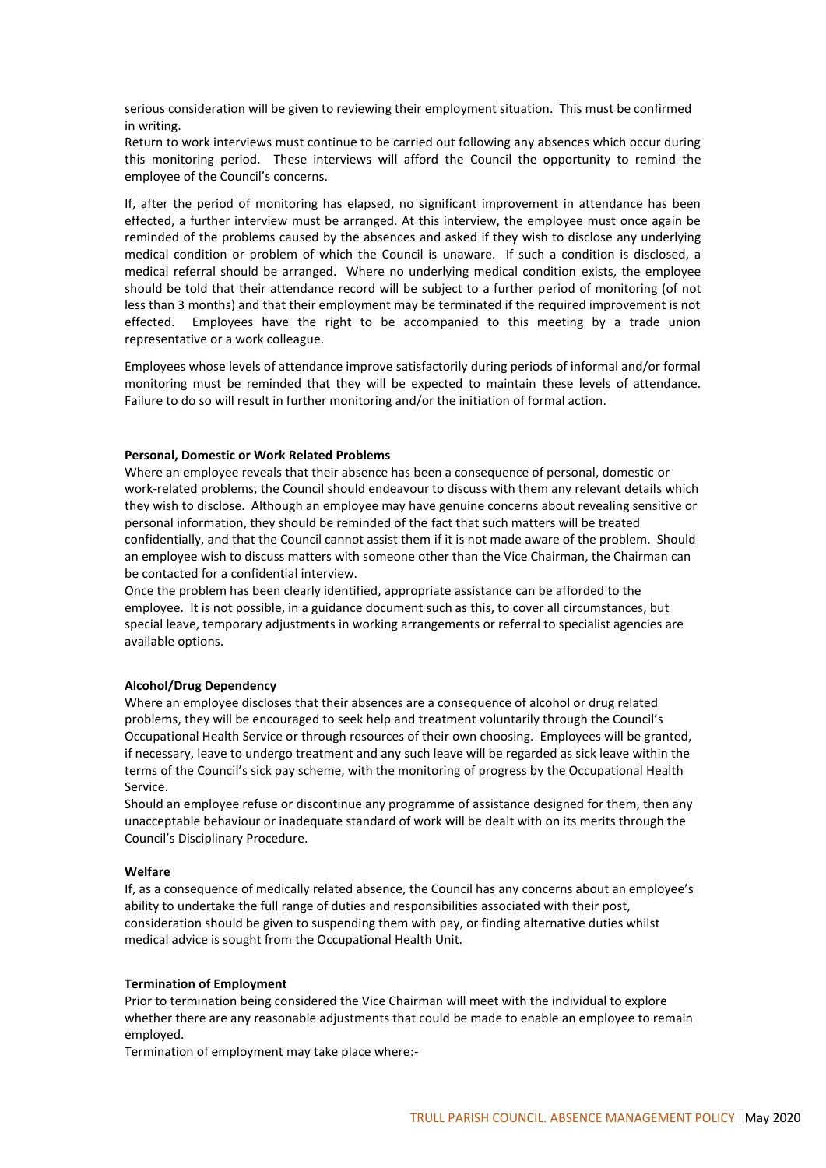serious consideration will be given to reviewing their employment situation. This must be confirmed in writing.

Return to work interviews must continue to be carried out following any absences which occur during this monitoring period. These interviews will afford the Council the opportunity to remind the employee of the Council's concerns.

If, after the period of monitoring has elapsed, no significant improvement in attendance has been effected, a further interview must be arranged. At this interview, the employee must once again be reminded of the problems caused by the absences and asked if they wish to disclose any underlying medical condition or problem of which the Council is unaware. If such a condition is disclosed, a medical referral should be arranged. Where no underlying medical condition exists, the employee should be told that their attendance record will be subject to a further period of monitoring (of not less than 3 months) and that their employment may be terminated if the required improvement is not effected. Employees have the right to be accompanied to this meeting by a trade union representative or a work colleague.

Employees whose levels of attendance improve satisfactorily during periods of informal and/or formal monitoring must be reminded that they will be expected to maintain these levels of attendance. Failure to do so will result in further monitoring and/or the initiation of formal action.

## **Personal, Domestic or Work Related Problems**

Where an employee reveals that their absence has been a consequence of personal, domestic or work-related problems, the Council should endeavour to discuss with them any relevant details which they wish to disclose. Although an employee may have genuine concerns about revealing sensitive or personal information, they should be reminded of the fact that such matters will be treated confidentially, and that the Council cannot assist them if it is not made aware of the problem. Should an employee wish to discuss matters with someone other than the Vice Chairman, the Chairman can be contacted for a confidential interview.

Once the problem has been clearly identified, appropriate assistance can be afforded to the employee. It is not possible, in a guidance document such as this, to cover all circumstances, but special leave, temporary adjustments in working arrangements or referral to specialist agencies are available options.

#### **Alcohol/Drug Dependency**

Where an employee discloses that their absences are a consequence of alcohol or drug related problems, they will be encouraged to seek help and treatment voluntarily through the Council's Occupational Health Service or through resources of their own choosing. Employees will be granted, if necessary, leave to undergo treatment and any such leave will be regarded as sick leave within the terms of the Council's sick pay scheme, with the monitoring of progress by the Occupational Health Service.

Should an employee refuse or discontinue any programme of assistance designed for them, then any unacceptable behaviour or inadequate standard of work will be dealt with on its merits through the Council's Disciplinary Procedure.

#### **Welfare**

If, as a consequence of medically related absence, the Council has any concerns about an employee's ability to undertake the full range of duties and responsibilities associated with their post, consideration should be given to suspending them with pay, or finding alternative duties whilst medical advice is sought from the Occupational Health Unit.

### **Termination of Employment**

Prior to termination being considered the Vice Chairman will meet with the individual to explore whether there are any reasonable adjustments that could be made to enable an employee to remain employed.

Termination of employment may take place where:-